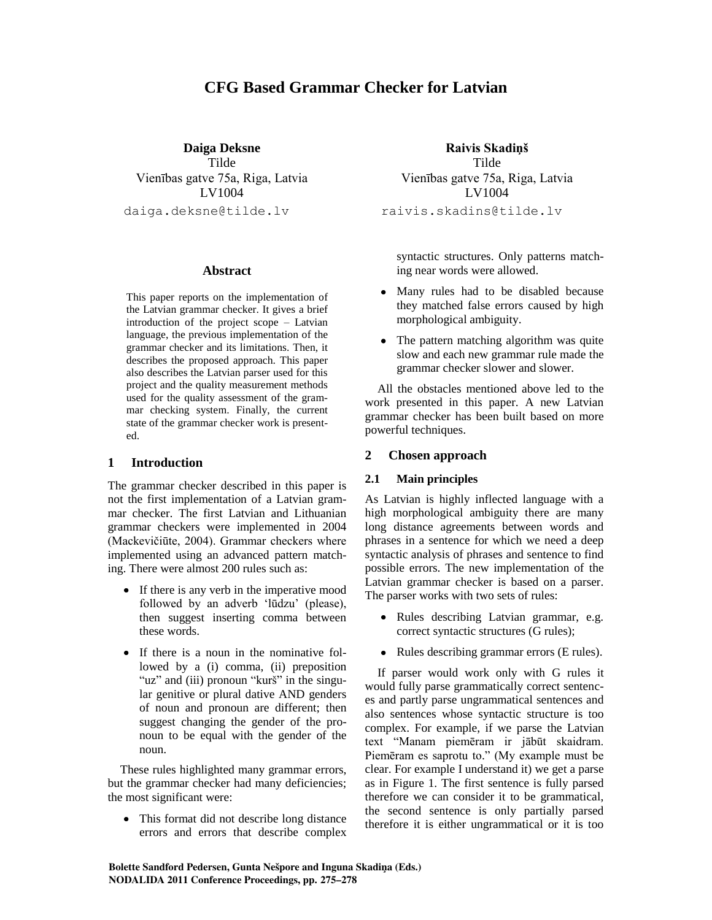# **CFG Based Grammar Checker for Latvian**

**Daiga Deksne**

Tilde Vienības gatve 75a, Riga, Latvia LV1004 daiga.deksne@tilde.lv

#### **Abstract**

This paper reports on the implementation of the Latvian grammar checker. It gives a brief introduction of the project scope – Latvian language, the previous implementation of the grammar checker and its limitations. Then, it describes the proposed approach. This paper also describes the Latvian parser used for this project and the quality measurement methods used for the quality assessment of the grammar checking system. Finally, the current state of the grammar checker work is presented.

# **1 Introduction**

The grammar checker described in this paper is not the first implementation of a Latvian grammar checker. The first Latvian and Lithuanian grammar checkers were implemented in 2004 (Mackevičiūte, 2004). Grammar checkers where implemented using an advanced pattern matching. There were almost 200 rules such as:

- If there is any verb in the imperative mood followed by an adverb 'lūdzu' (please), then suggest inserting comma between these words.
- If there is a noun in the nominative followed by a (i) comma, (ii) preposition "uz" and (iii) pronoun "kurš" in the singular genitive or plural dative AND genders of noun and pronoun are different; then suggest changing the gender of the pronoun to be equal with the gender of the noun.

These rules highlighted many grammar errors, but the grammar checker had many deficiencies; the most significant were:

• This format did not describe long distance errors and errors that describe complex

**Raivis Skadiņš** Tilde Vienības gatve 75a, Riga, Latvia LV1004 raivis.skadins@tilde.lv

syntactic structures. Only patterns matching near words were allowed.

- Many rules had to be disabled because they matched false errors caused by high morphological ambiguity.
- The pattern matching algorithm was quite slow and each new grammar rule made the grammar checker slower and slower.

All the obstacles mentioned above led to the work presented in this paper. A new Latvian grammar checker has been built based on more powerful techniques.

# **2 Chosen approach**

#### **2.1 Main principles**

As Latvian is highly inflected language with a high morphological ambiguity there are many long distance agreements between words and phrases in a sentence for which we need a deep syntactic analysis of phrases and sentence to find possible errors. The new implementation of the Latvian grammar checker is based on a parser. The parser works with two sets of rules:

- $\bullet$ Rules describing Latvian grammar, e.g. correct syntactic structures (G rules);
- Rules describing grammar errors (E rules).

If parser would work only with G rules it would fully parse grammatically correct sentences and partly parse ungrammatical sentences and also sentences whose syntactic structure is too complex. For example, if we parse the Latvian text "Manam piemēram ir jābūt skaidram. Piemēram es saprotu to." (My example must be clear. For example I understand it) we get a parse as in Figure 1. The first sentence is fully parsed therefore we can consider it to be grammatical, the second sentence is only partially parsed therefore it is either ungrammatical or it is too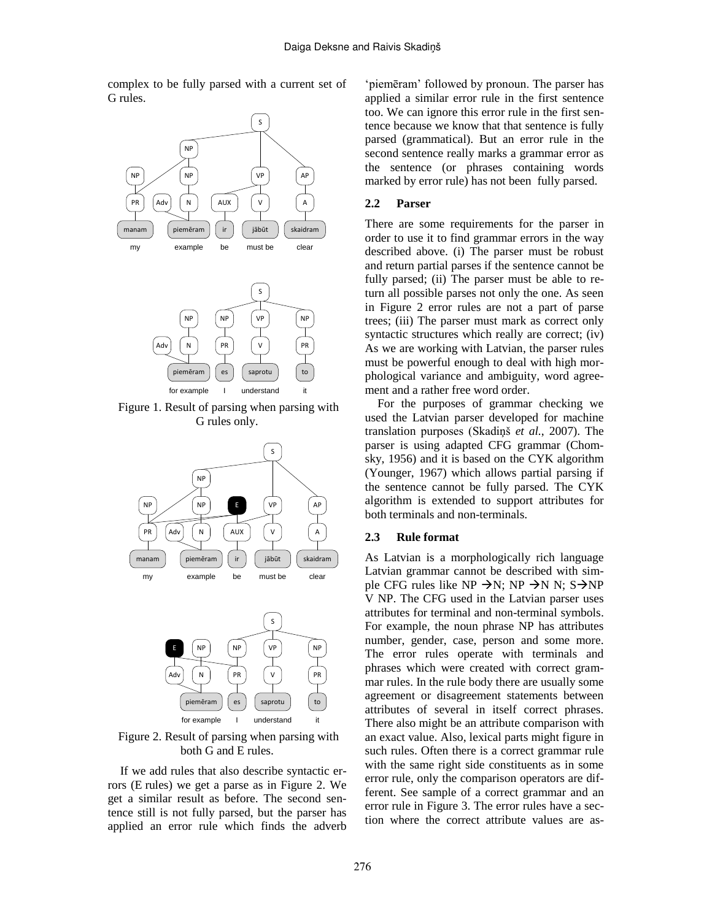complex to be fully parsed with a current set of G rules.



Figure 1. Result of parsing when parsing with G rules only.



Figure 2. Result of parsing when parsing with both G and E rules.

If we add rules that also describe syntactic errors (E rules) we get a parse as in Figure 2. We get a similar result as before. The second sentence still is not fully parsed, but the parser has applied an error rule which finds the adverb ‗piemēram' followed by pronoun. The parser has applied a similar error rule in the first sentence too. We can ignore this error rule in the first sentence because we know that that sentence is fully parsed (grammatical). But an error rule in the second sentence really marks a grammar error as the sentence (or phrases containing words marked by error rule) has not been fully parsed.

### **2.2 Parser**

There are some requirements for the parser in order to use it to find grammar errors in the way described above. (i) The parser must be robust and return partial parses if the sentence cannot be fully parsed; (ii) The parser must be able to return all possible parses not only the one. As seen in Figure 2 error rules are not a part of parse trees; (iii) The parser must mark as correct only syntactic structures which really are correct; (iv) As we are working with Latvian, the parser rules must be powerful enough to deal with high morphological variance and ambiguity, word agreement and a rather free word order.

For the purposes of grammar checking we used the Latvian parser developed for machine translation purposes (Skadiņš *et al.*, 2007). The parser is using adapted CFG grammar (Chomsky, 1956) and it is based on the CYK algorithm (Younger, 1967) which allows partial parsing if the sentence cannot be fully parsed. The CYK algorithm is extended to support attributes for both terminals and non-terminals.

#### **2.3 Rule format**

As Latvian is a morphologically rich language Latvian grammar cannot be described with simple CFG rules like NP  $\rightarrow$ N; NP  $\rightarrow$ N N; S $\rightarrow$ NP V NP. The CFG used in the Latvian parser uses attributes for terminal and non-terminal symbols. For example, the noun phrase NP has attributes number, gender, case, person and some more. The error rules operate with terminals and phrases which were created with correct grammar rules. In the rule body there are usually some agreement or disagreement statements between attributes of several in itself correct phrases. There also might be an attribute comparison with an exact value. Also, lexical parts might figure in such rules. Often there is a correct grammar rule with the same right side constituents as in some error rule, only the comparison operators are different. See sample of a correct grammar and an error rule in Figure 3. The error rules have a section where the correct attribute values are as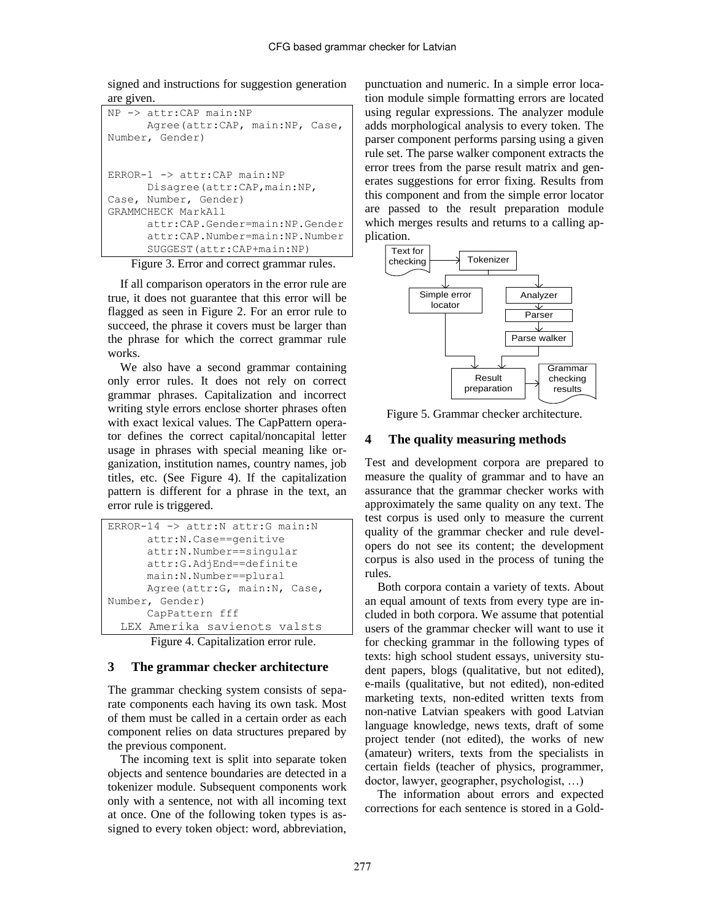signed and instructions for suggestion generation are given.

```
NP -> attr:CAP main:NP
      Agree(attr:CAP, main:NP, Case, 
Number, Gender)
ERROR-1 -> attr:CAP main:NP
      Disagree(attr:CAP,main:NP, 
Case, Number, Gender)
GRAMMCHECK MarkAll
      attr:CAP.Gender=main:NP.Gender
      attr:CAP.Number=main:NP.Number
      SUGGEST(attr:CAP+main:NP)
```
Figure 3. Error and correct grammar rules.

If all comparison operators in the error rule are true, it does not guarantee that this error will be flagged as seen in Figure 2. For an error rule to succeed, the phrase it covers must be larger than the phrase for which the correct grammar rule works.

We also have a second grammar containing only error rules. It does not rely on correct grammar phrases. Capitalization and incorrect writing style errors enclose shorter phrases often with exact lexical values. The CapPattern operator defines the correct capital/noncapital letter usage in phrases with special meaning like organization, institution names, country names, job titles, etc. (See Figure 4). If the capitalization pattern is different for a phrase in the text, an error rule is triggered.

```
ERROR-14 -> attr:N attr:G main:N
      attr:N.Case==genitive
      attr:N.Number==singular
      attr:G.AdjEnd==definite
      main:N.Number==plural
      Agree(attr:G, main:N, Case, 
Number, Gender)
      CapPattern fff
  LEX Amerika savienots valsts
```
Figure 4. Capitalization error rule.

# **3 The grammar checker architecture**

The grammar checking system consists of separate components each having its own task. Most of them must be called in a certain order as each component relies on data structures prepared by the previous component.

The incoming text is split into separate token objects and sentence boundaries are detected in a tokenizer module. Subsequent components work only with a sentence, not with all incoming text at once. One of the following token types is assigned to every token object: word, abbreviation,

punctuation and numeric. In a simple error location module simple formatting errors are located using regular expressions. The analyzer module adds morphological analysis to every token. The parser component performs parsing using a given rule set. The parse walker component extracts the error trees from the parse result matrix and generates suggestions for error fixing. Results from this component and from the simple error locator are passed to the result preparation module which merges results and returns to a calling application.



Figure 5. Grammar checker architecture.

# **4 The quality measuring methods**

Test and development corpora are prepared to measure the quality of grammar and to have an assurance that the grammar checker works with approximately the same quality on any text. The test corpus is used only to measure the current quality of the grammar checker and rule developers do not see its content; the development corpus is also used in the process of tuning the rules.

Both corpora contain a variety of texts. About an equal amount of texts from every type are included in both corpora. We assume that potential users of the grammar checker will want to use it for checking grammar in the following types of texts: high school student essays, university student papers, blogs (qualitative, but not edited), e-mails (qualitative, but not edited), non-edited marketing texts, non-edited written texts from non-native Latvian speakers with good Latvian language knowledge, news texts, draft of some project tender (not edited), the works of new (amateur) writers, texts from the specialists in certain fields (teacher of physics, programmer, doctor, lawyer, geographer, psychologist, …)

The information about errors and expected corrections for each sentence is stored in a Gold